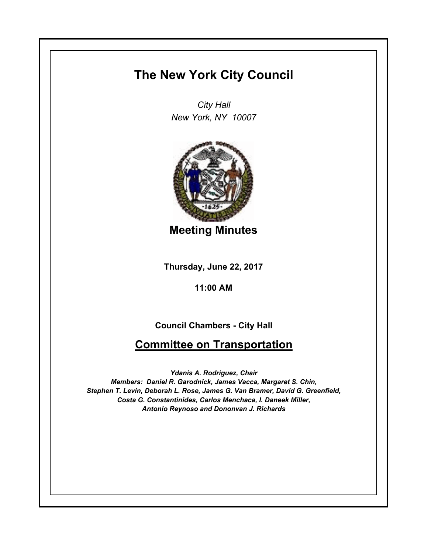## **The New York City Council**

*City Hall New York, NY 10007*



**Meeting Minutes**

**Thursday, June 22, 2017**

**11:00 AM**

## **Council Chambers - City Hall**

## **Committee on Transportation**

*Ydanis A. Rodriguez, Chair Members: Daniel R. Garodnick, James Vacca, Margaret S. Chin, Stephen T. Levin, Deborah L. Rose, James G. Van Bramer, David G. Greenfield, Costa G. Constantinides, Carlos Menchaca, I. Daneek Miller, Antonio Reynoso and Dononvan J. Richards*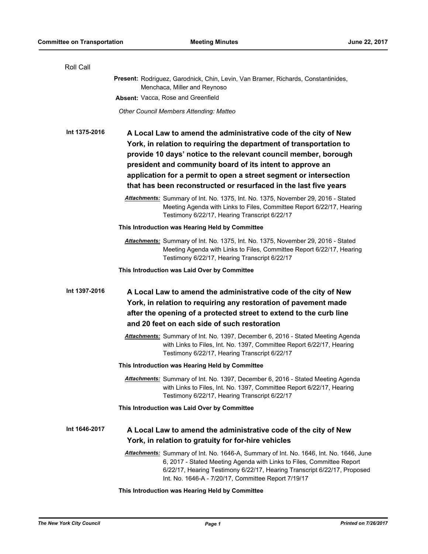| Roll Call     |                                                                                                                                                                                                                                                                                                                                                                                                                |
|---------------|----------------------------------------------------------------------------------------------------------------------------------------------------------------------------------------------------------------------------------------------------------------------------------------------------------------------------------------------------------------------------------------------------------------|
|               | Present: Rodriguez, Garodnick, Chin, Levin, Van Bramer, Richards, Constantinides,<br>Menchaca, Miller and Reynoso                                                                                                                                                                                                                                                                                              |
|               | Absent: Vacca, Rose and Greenfield                                                                                                                                                                                                                                                                                                                                                                             |
|               | Other Council Members Attending: Matteo                                                                                                                                                                                                                                                                                                                                                                        |
| Int 1375-2016 | A Local Law to amend the administrative code of the city of New<br>York, in relation to requiring the department of transportation to<br>provide 10 days' notice to the relevant council member, borough<br>president and community board of its intent to approve an<br>application for a permit to open a street segment or intersection<br>that has been reconstructed or resurfaced in the last five years |
|               | Attachments: Summary of Int. No. 1375, Int. No. 1375, November 29, 2016 - Stated<br>Meeting Agenda with Links to Files, Committee Report 6/22/17, Hearing<br>Testimony 6/22/17, Hearing Transcript 6/22/17                                                                                                                                                                                                     |
|               | This Introduction was Hearing Held by Committee                                                                                                                                                                                                                                                                                                                                                                |
|               | Attachments: Summary of Int. No. 1375, Int. No. 1375, November 29, 2016 - Stated<br>Meeting Agenda with Links to Files, Committee Report 6/22/17, Hearing<br>Testimony 6/22/17, Hearing Transcript 6/22/17                                                                                                                                                                                                     |
|               | This Introduction was Laid Over by Committee                                                                                                                                                                                                                                                                                                                                                                   |
| Int 1397-2016 | A Local Law to amend the administrative code of the city of New<br>York, in relation to requiring any restoration of pavement made<br>after the opening of a protected street to extend to the curb line<br>and 20 feet on each side of such restoration                                                                                                                                                       |
|               | Attachments: Summary of Int. No. 1397, December 6, 2016 - Stated Meeting Agenda<br>with Links to Files, Int. No. 1397, Committee Report 6/22/17, Hearing<br>Testimony 6/22/17, Hearing Transcript 6/22/17                                                                                                                                                                                                      |
|               | This Introduction was Hearing Held by Committee                                                                                                                                                                                                                                                                                                                                                                |
|               | Attachments: Summary of Int. No. 1397, December 6, 2016 - Stated Meeting Agenda<br>with Links to Files, Int. No. 1397, Committee Report 6/22/17, Hearing<br>Testimony 6/22/17, Hearing Transcript 6/22/17                                                                                                                                                                                                      |
|               | This Introduction was Laid Over by Committee                                                                                                                                                                                                                                                                                                                                                                   |
| Int 1646-2017 | A Local Law to amend the administrative code of the city of New<br>York, in relation to gratuity for for-hire vehicles                                                                                                                                                                                                                                                                                         |
|               | Attachments: Summary of Int. No. 1646-A, Summary of Int. No. 1646, Int. No. 1646, June<br>6, 2017 - Stated Meeting Agenda with Links to Files, Committee Report<br>6/22/17, Hearing Testimony 6/22/17, Hearing Transcript 6/22/17, Proposed<br>Int. No. 1646-A - 7/20/17, Committee Report 7/19/17                                                                                                             |
|               | This Introduction was Hearing Held by Committee                                                                                                                                                                                                                                                                                                                                                                |